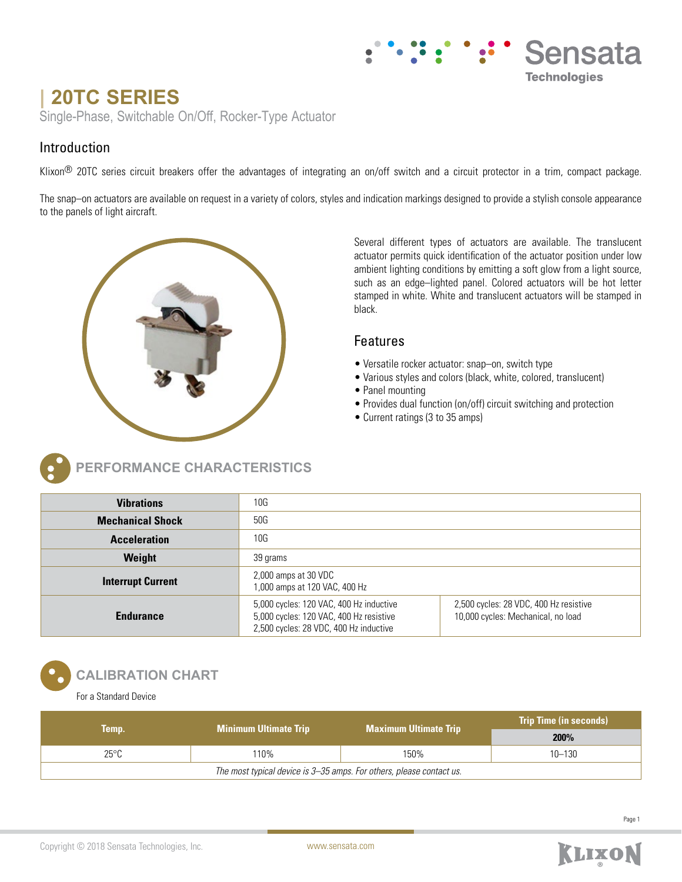# **| 20TC SERIES**

Single-Phase, Switchable On/Off, Rocker-Type Actuator

## Introduction

Klixon<sup>®</sup> 20TC series circuit breakers offer the advantages of integrating an on/off switch and a circuit protector in a trim, compact package.

The snap–on actuators are available on request in a variety of colors, styles and indication markings designed to provide a stylish console appearance to the panels of light aircraft.



**ERFORMANCE CHARACTERISTICS** 

Several different types of actuators are available. The translucent actuator permits quick identification of the actuator position under low ambient lighting conditions by emitting a soft glow from a light source, such as an edge–lighted panel. Colored actuators will be hot letter stamped in white. White and translucent actuators will be stamped in black.

Sensata

**Technologies** 

## Features

- Versatile rocker actuator: snap–on, switch type
- Various styles and colors (black, white, colored, translucent)
- Panel mounting
- Provides dual function (on/off) circuit switching and protection
- Current ratings (3 to 35 amps)

| <b>Vibrations</b>        | 10G                                                                                                                          |                                                                              |  |
|--------------------------|------------------------------------------------------------------------------------------------------------------------------|------------------------------------------------------------------------------|--|
| <b>Mechanical Shock</b>  | 50G                                                                                                                          |                                                                              |  |
| <b>Acceleration</b>      | 10G                                                                                                                          |                                                                              |  |
| Weight                   | 39 grams                                                                                                                     |                                                                              |  |
| <b>Interrupt Current</b> | 2,000 amps at 30 VDC<br>1,000 amps at 120 VAC, 400 Hz                                                                        |                                                                              |  |
| <b>Endurance</b>         | 5,000 cycles: 120 VAC, 400 Hz inductive<br>5,000 cycles: 120 VAC, 400 Hz resistive<br>2,500 cycles: 28 VDC, 400 Hz inductive | 2,500 cycles: 28 VDC, 400 Hz resistive<br>10,000 cycles: Mechanical, no load |  |

## **CALIBRATION CHART**

For a Standard Device

|                                                                      | <b>Minimum Ultimate Trip</b> | <b>Maximum Ultimate Trip</b> | <b>Trip Time (in seconds)</b> |  |
|----------------------------------------------------------------------|------------------------------|------------------------------|-------------------------------|--|
| Temp.                                                                |                              |                              | 200%                          |  |
| $25^{\circ}$ C                                                       | 110%                         | 150%                         | $10 - 130$                    |  |
| The most typical device is 3–35 amps. For others, please contact us. |                              |                              |                               |  |

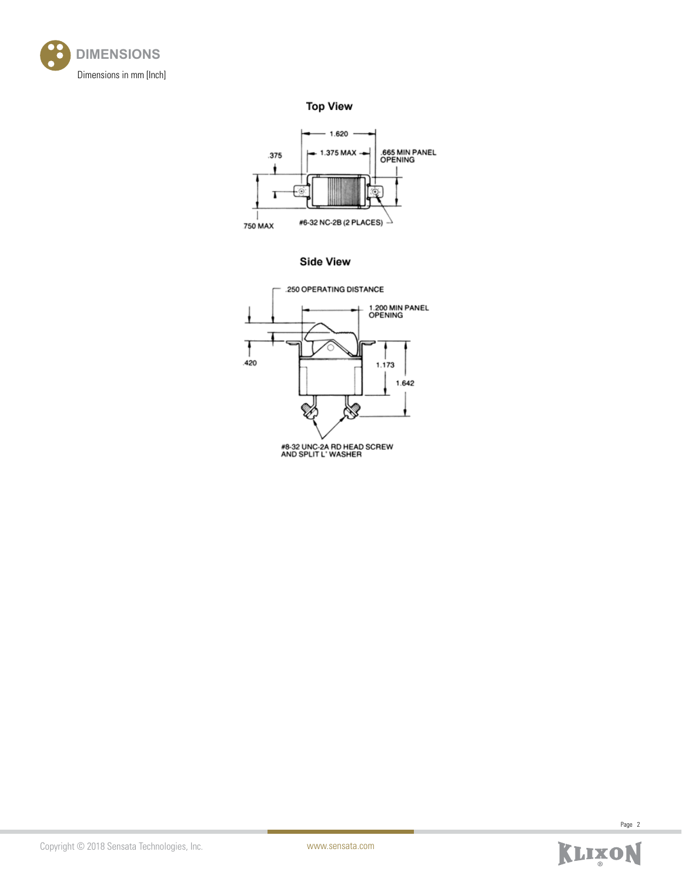

**Top View** 



**Side View** 





Page 2

Copyright © 2018 Sensata Technologies, Inc.